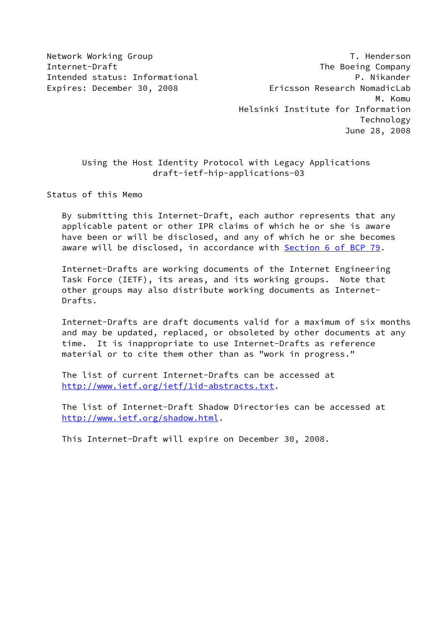Network Working Group **T. Henderson** Internet-Draft The Boeing Company Intended status: Informational P. Nikander Expires: December 30, 2008 **Expires: Expires: December 30, 2008**  M. Komu Helsinki Institute for Information Technology June 28, 2008

# Using the Host Identity Protocol with Legacy Applications draft-ietf-hip-applications-03

Status of this Memo

 By submitting this Internet-Draft, each author represents that any applicable patent or other IPR claims of which he or she is aware have been or will be disclosed, and any of which he or she becomes aware will be disclosed, in accordance with Section [6 of BCP 79.](https://datatracker.ietf.org/doc/pdf/bcp79#section-6)

 Internet-Drafts are working documents of the Internet Engineering Task Force (IETF), its areas, and its working groups. Note that other groups may also distribute working documents as Internet- Drafts.

 Internet-Drafts are draft documents valid for a maximum of six months and may be updated, replaced, or obsoleted by other documents at any time. It is inappropriate to use Internet-Drafts as reference material or to cite them other than as "work in progress."

 The list of current Internet-Drafts can be accessed at <http://www.ietf.org/ietf/1id-abstracts.txt>.

 The list of Internet-Draft Shadow Directories can be accessed at <http://www.ietf.org/shadow.html>.

This Internet-Draft will expire on December 30, 2008.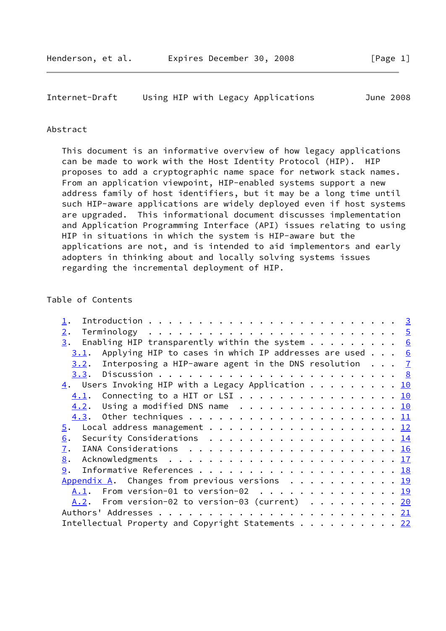## Abstract

 This document is an informative overview of how legacy applications can be made to work with the Host Identity Protocol (HIP). HIP proposes to add a cryptographic name space for network stack names. From an application viewpoint, HIP-enabled systems support a new address family of host identifiers, but it may be a long time until such HIP-aware applications are widely deployed even if host systems are upgraded. This informational document discusses implementation and Application Programming Interface (API) issues relating to using HIP in situations in which the system is HIP-aware but the applications are not, and is intended to aid implementors and early adopters in thinking about and locally solving systems issues regarding the incremental deployment of HIP.

## Table of Contents

| 2.                                                                                             |  |  |
|------------------------------------------------------------------------------------------------|--|--|
| $\frac{3}{2}$ . Enabling HIP transparently within the system 6                                 |  |  |
| $3.1$ . Applying HIP to cases in which IP addresses are used 6                                 |  |  |
| 3.2. Interposing a HIP-aware agent in the DNS resolution $7$                                   |  |  |
|                                                                                                |  |  |
| $\underline{4}$ . Users Invoking HIP with a Legacy Application 10                              |  |  |
| $\underline{4.1}$ . Connecting to a HIT or LSI 10                                              |  |  |
| $\underline{4.2}$ . Using a modified DNS name 10                                               |  |  |
|                                                                                                |  |  |
|                                                                                                |  |  |
| Security Considerations $\ldots \ldots \ldots \ldots \ldots \ldots \ldots \frac{14}{14}$<br>6. |  |  |
| $\overline{1}$ .                                                                               |  |  |
| 8.                                                                                             |  |  |
| 9.                                                                                             |  |  |
| Appendix A. Changes from previous versions $\cdots$ 19                                         |  |  |
| From version-01 to version-02 $\ldots \ldots \ldots \ldots \ldots \frac{19}{2}$<br>A.1.        |  |  |
| $A.2.$ From version-02 to version-03 (current) 20                                              |  |  |
|                                                                                                |  |  |
| Intellectual Property and Copyright Statements 22                                              |  |  |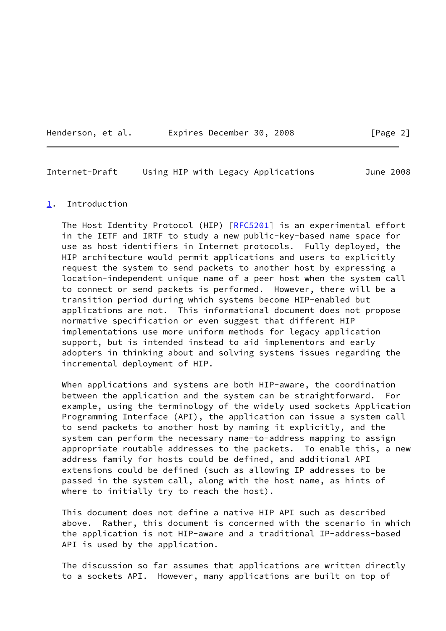Henderson, et al. Expires December 30, 2008 [Page 2]

<span id="page-2-1"></span>Internet-Draft Using HIP with Legacy Applications June 2008

#### <span id="page-2-0"></span>[1](#page-2-0). Introduction

The Host Identity Protocol (HIP) [\[RFC5201](https://datatracker.ietf.org/doc/pdf/rfc5201)] is an experimental effort in the IETF and IRTF to study a new public-key-based name space for use as host identifiers in Internet protocols. Fully deployed, the HIP architecture would permit applications and users to explicitly request the system to send packets to another host by expressing a location-independent unique name of a peer host when the system call to connect or send packets is performed. However, there will be a transition period during which systems become HIP-enabled but applications are not. This informational document does not propose normative specification or even suggest that different HIP implementations use more uniform methods for legacy application support, but is intended instead to aid implementors and early adopters in thinking about and solving systems issues regarding the incremental deployment of HIP.

 When applications and systems are both HIP-aware, the coordination between the application and the system can be straightforward. For example, using the terminology of the widely used sockets Application Programming Interface (API), the application can issue a system call to send packets to another host by naming it explicitly, and the system can perform the necessary name-to-address mapping to assign appropriate routable addresses to the packets. To enable this, a new address family for hosts could be defined, and additional API extensions could be defined (such as allowing IP addresses to be passed in the system call, along with the host name, as hints of where to initially try to reach the host).

 This document does not define a native HIP API such as described above. Rather, this document is concerned with the scenario in which the application is not HIP-aware and a traditional IP-address-based API is used by the application.

 The discussion so far assumes that applications are written directly to a sockets API. However, many applications are built on top of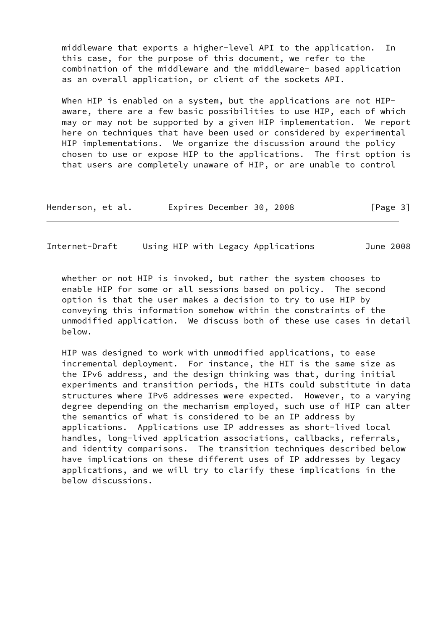middleware that exports a higher-level API to the application. In this case, for the purpose of this document, we refer to the combination of the middleware and the middleware- based application as an overall application, or client of the sockets API.

When HIP is enabled on a system, but the applications are not HIP aware, there are a few basic possibilities to use HIP, each of which may or may not be supported by a given HIP implementation. We report here on techniques that have been used or considered by experimental HIP implementations. We organize the discussion around the policy chosen to use or expose HIP to the applications. The first option is that users are completely unaware of HIP, or are unable to control

| Henderson, et al. | Expires December 30, 2008 | [Page 3] |
|-------------------|---------------------------|----------|
|-------------------|---------------------------|----------|

Internet-Draft Using HIP with Legacy Applications June 2008

 whether or not HIP is invoked, but rather the system chooses to enable HIP for some or all sessions based on policy. The second option is that the user makes a decision to try to use HIP by conveying this information somehow within the constraints of the unmodified application. We discuss both of these use cases in detail below.

 HIP was designed to work with unmodified applications, to ease incremental deployment. For instance, the HIT is the same size as the IPv6 address, and the design thinking was that, during initial experiments and transition periods, the HITs could substitute in data structures where IPv6 addresses were expected. However, to a varying degree depending on the mechanism employed, such use of HIP can alter the semantics of what is considered to be an IP address by applications. Applications use IP addresses as short-lived local handles, long-lived application associations, callbacks, referrals, and identity comparisons. The transition techniques described below have implications on these different uses of IP addresses by legacy applications, and we will try to clarify these implications in the below discussions.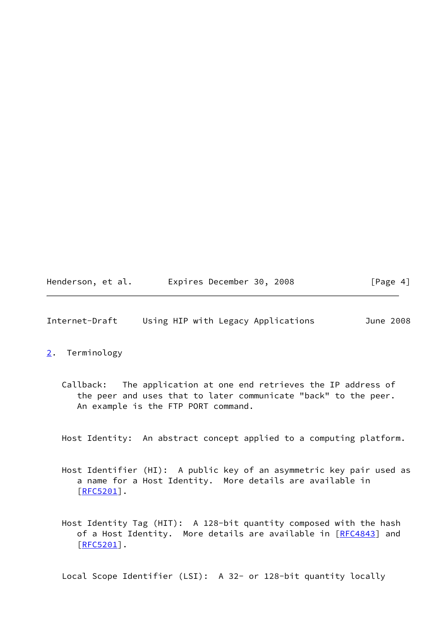Henderson, et al. Expires December 30, 2008 [Page 4]

<span id="page-4-1"></span>Internet-Draft Using HIP with Legacy Applications June 2008

## <span id="page-4-0"></span>[2](#page-4-0). Terminology

 Callback: The application at one end retrieves the IP address of the peer and uses that to later communicate "back" to the peer. An example is the FTP PORT command.

Host Identity: An abstract concept applied to a computing platform.

- Host Identifier (HI): A public key of an asymmetric key pair used as a name for a Host Identity. More details are available in [[RFC5201\]](https://datatracker.ietf.org/doc/pdf/rfc5201).
- Host Identity Tag (HIT): A 128-bit quantity composed with the hash of a Host Identity. More details are available in [[RFC4843](https://datatracker.ietf.org/doc/pdf/rfc4843)] and  $[REC5201]$ .

Local Scope Identifier (LSI): A 32- or 128-bit quantity locally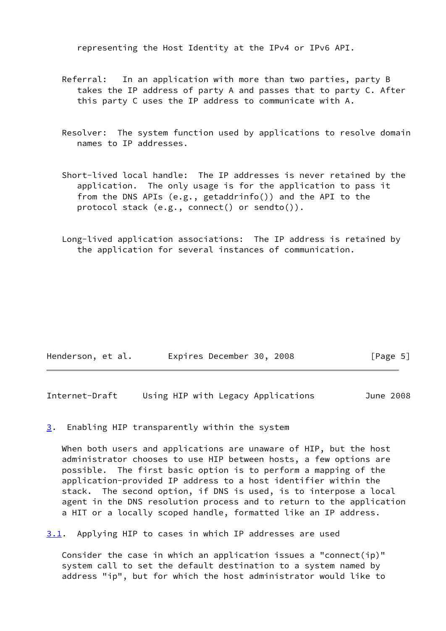representing the Host Identity at the IPv4 or IPv6 API.

- Referral: In an application with more than two parties, party B takes the IP address of party A and passes that to party C. After this party C uses the IP address to communicate with A.
- Resolver: The system function used by applications to resolve domain names to IP addresses.
- Short-lived local handle: The IP addresses is never retained by the application. The only usage is for the application to pass it from the DNS APIs (e.g., getaddrinfo()) and the API to the protocol stack (e.g., connect() or sendto()).
- Long-lived application associations: The IP address is retained by the application for several instances of communication.

| Henderson, et al. | Expires December 30, 2008 |  | [Page 5] |
|-------------------|---------------------------|--|----------|
|-------------------|---------------------------|--|----------|

<span id="page-5-1"></span>Internet-Draft Using HIP with Legacy Applications June 2008

<span id="page-5-0"></span>[3](#page-5-0). Enabling HIP transparently within the system

 When both users and applications are unaware of HIP, but the host administrator chooses to use HIP between hosts, a few options are possible. The first basic option is to perform a mapping of the application-provided IP address to a host identifier within the stack. The second option, if DNS is used, is to interpose a local agent in the DNS resolution process and to return to the application a HIT or a locally scoped handle, formatted like an IP address.

<span id="page-5-2"></span>[3.1](#page-5-2). Applying HIP to cases in which IP addresses are used

 Consider the case in which an application issues a "connect(ip)" system call to set the default destination to a system named by address "ip", but for which the host administrator would like to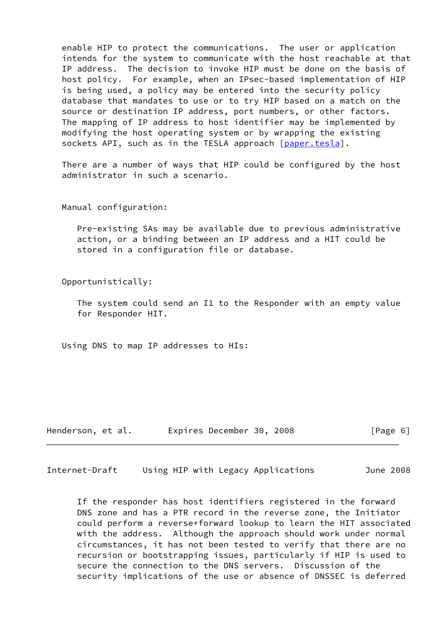enable HIP to protect the communications. The user or application intends for the system to communicate with the host reachable at that IP address. The decision to invoke HIP must be done on the basis of host policy. For example, when an IPsec-based implementation of HIP is being used, a policy may be entered into the security policy database that mandates to use or to try HIP based on a match on the source or destination IP address, port numbers, or other factors. The mapping of IP address to host identifier may be implemented by modifying the host operating system or by wrapping the existing sockets API, such as in the TESLA approach [[paper.tesla\]](#page-19-2).

 There are a number of ways that HIP could be configured by the host administrator in such a scenario.

Manual configuration:

 Pre-existing SAs may be available due to previous administrative action, or a binding between an IP address and a HIT could be stored in a configuration file or database.

Opportunistically:

 The system could send an I1 to the Responder with an empty value for Responder HIT.

Using DNS to map IP addresses to HIs:

| Henderson, et al. | Expires December 30, 2008 | [Page 6] |
|-------------------|---------------------------|----------|
|-------------------|---------------------------|----------|

<span id="page-6-0"></span>Internet-Draft Using HIP with Legacy Applications June 2008

 If the responder has host identifiers registered in the forward DNS zone and has a PTR record in the reverse zone, the Initiator could perform a reverse+forward lookup to learn the HIT associated with the address. Although the approach should work under normal circumstances, it has not been tested to verify that there are no recursion or bootstrapping issues, particularly if HIP is used to secure the connection to the DNS servers. Discussion of the security implications of the use or absence of DNSSEC is deferred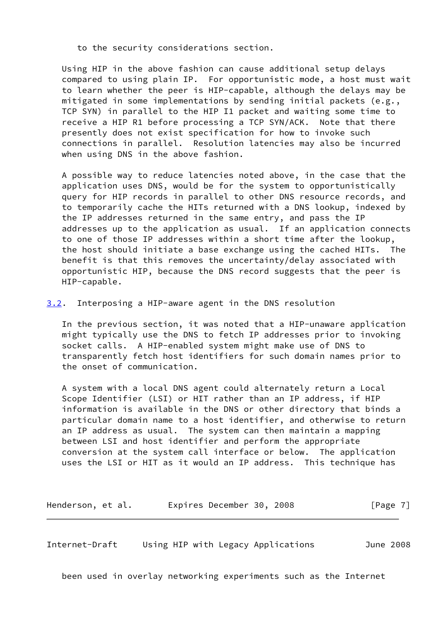to the security considerations section.

 Using HIP in the above fashion can cause additional setup delays compared to using plain IP. For opportunistic mode, a host must wait to learn whether the peer is HIP-capable, although the delays may be mitigated in some implementations by sending initial packets (e.g., TCP SYN) in parallel to the HIP I1 packet and waiting some time to receive a HIP R1 before processing a TCP SYN/ACK. Note that there presently does not exist specification for how to invoke such connections in parallel. Resolution latencies may also be incurred when using DNS in the above fashion.

 A possible way to reduce latencies noted above, in the case that the application uses DNS, would be for the system to opportunistically query for HIP records in parallel to other DNS resource records, and to temporarily cache the HITs returned with a DNS lookup, indexed by the IP addresses returned in the same entry, and pass the IP addresses up to the application as usual. If an application connects to one of those IP addresses within a short time after the lookup, the host should initiate a base exchange using the cached HITs. The benefit is that this removes the uncertainty/delay associated with opportunistic HIP, because the DNS record suggests that the peer is HIP-capable.

<span id="page-7-0"></span>[3.2](#page-7-0). Interposing a HIP-aware agent in the DNS resolution

 In the previous section, it was noted that a HIP-unaware application might typically use the DNS to fetch IP addresses prior to invoking socket calls. A HIP-enabled system might make use of DNS to transparently fetch host identifiers for such domain names prior to the onset of communication.

 A system with a local DNS agent could alternately return a Local Scope Identifier (LSI) or HIT rather than an IP address, if HIP information is available in the DNS or other directory that binds a particular domain name to a host identifier, and otherwise to return an IP address as usual. The system can then maintain a mapping between LSI and host identifier and perform the appropriate conversion at the system call interface or below. The application uses the LSI or HIT as it would an IP address. This technique has

Henderson, et al. Expires December 30, 2008 [Page 7]

<span id="page-7-1"></span>Internet-Draft Using HIP with Legacy Applications June 2008

been used in overlay networking experiments such as the Internet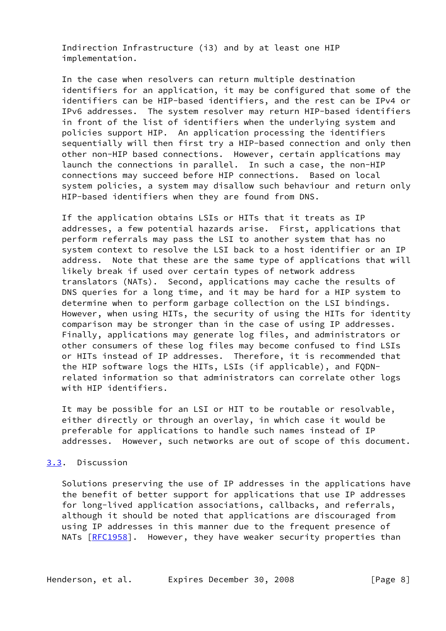Indirection Infrastructure (i3) and by at least one HIP implementation.

 In the case when resolvers can return multiple destination identifiers for an application, it may be configured that some of the identifiers can be HIP-based identifiers, and the rest can be IPv4 or IPv6 addresses. The system resolver may return HIP-based identifiers in front of the list of identifiers when the underlying system and policies support HIP. An application processing the identifiers sequentially will then first try a HIP-based connection and only then other non-HIP based connections. However, certain applications may launch the connections in parallel. In such a case, the non-HIP connections may succeed before HIP connections. Based on local system policies, a system may disallow such behaviour and return only HIP-based identifiers when they are found from DNS.

 If the application obtains LSIs or HITs that it treats as IP addresses, a few potential hazards arise. First, applications that perform referrals may pass the LSI to another system that has no system context to resolve the LSI back to a host identifier or an IP address. Note that these are the same type of applications that will likely break if used over certain types of network address translators (NATs). Second, applications may cache the results of DNS queries for a long time, and it may be hard for a HIP system to determine when to perform garbage collection on the LSI bindings. However, when using HITs, the security of using the HITs for identity comparison may be stronger than in the case of using IP addresses. Finally, applications may generate log files, and administrators or other consumers of these log files may become confused to find LSIs or HITs instead of IP addresses. Therefore, it is recommended that the HIP software logs the HITs, LSIs (if applicable), and FQDN related information so that administrators can correlate other logs with HIP identifiers.

 It may be possible for an LSI or HIT to be routable or resolvable, either directly or through an overlay, in which case it would be preferable for applications to handle such names instead of IP addresses. However, such networks are out of scope of this document.

# <span id="page-8-0"></span>[3.3](#page-8-0). Discussion

 Solutions preserving the use of IP addresses in the applications have the benefit of better support for applications that use IP addresses for long-lived application associations, callbacks, and referrals, although it should be noted that applications are discouraged from using IP addresses in this manner due to the frequent presence of NATs [\[RFC1958](https://datatracker.ietf.org/doc/pdf/rfc1958)]. However, they have weaker security properties than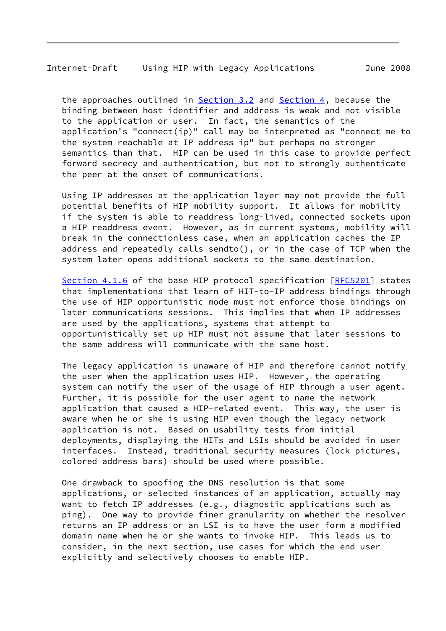## Internet-Draft Using HIP with Legacy Applications June 2008

the approaches outlined in **[Section 3.2](#page-7-0)** and **Section 4**, because the binding between host identifier and address is weak and not visible to the application or user. In fact, the semantics of the application's "connect(ip)" call may be interpreted as "connect me to the system reachable at IP address ip" but perhaps no stronger semantics than that. HIP can be used in this case to provide perfect forward secrecy and authentication, but not to strongly authenticate the peer at the onset of communications.

 Using IP addresses at the application layer may not provide the full potential benefits of HIP mobility support. It allows for mobility if the system is able to readdress long-lived, connected sockets upon a HIP readdress event. However, as in current systems, mobility will break in the connectionless case, when an application caches the IP address and repeatedly calls sendto(), or in the case of TCP when the system later opens additional sockets to the same destination.

 Section 4.1.6 of the base HIP protocol specification [\[RFC5201](https://datatracker.ietf.org/doc/pdf/rfc5201)] states that implementations that learn of HIT-to-IP address bindings through the use of HIP opportunistic mode must not enforce those bindings on later communications sessions. This implies that when IP addresses are used by the applications, systems that attempt to opportunistically set up HIP must not assume that later sessions to the same address will communicate with the same host.

 The legacy application is unaware of HIP and therefore cannot notify the user when the application uses HIP. However, the operating system can notify the user of the usage of HIP through a user agent. Further, it is possible for the user agent to name the network application that caused a HIP-related event. This way, the user is aware when he or she is using HIP even though the legacy network application is not. Based on usability tests from initial deployments, displaying the HITs and LSIs should be avoided in user interfaces. Instead, traditional security measures (lock pictures, colored address bars) should be used where possible.

 One drawback to spoofing the DNS resolution is that some applications, or selected instances of an application, actually may want to fetch IP addresses (e.g., diagnostic applications such as ping). One way to provide finer granularity on whether the resolver returns an IP address or an LSI is to have the user form a modified domain name when he or she wants to invoke HIP. This leads us to consider, in the next section, use cases for which the end user explicitly and selectively chooses to enable HIP.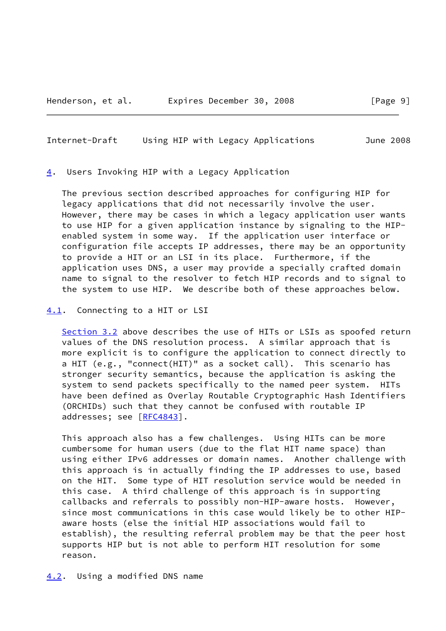<span id="page-10-0"></span>[4](#page-10-0). Users Invoking HIP with a Legacy Application

 The previous section described approaches for configuring HIP for legacy applications that did not necessarily involve the user. However, there may be cases in which a legacy application user wants to use HIP for a given application instance by signaling to the HIP enabled system in some way. If the application user interface or configuration file accepts IP addresses, there may be an opportunity to provide a HIT or an LSI in its place. Furthermore, if the application uses DNS, a user may provide a specially crafted domain name to signal to the resolver to fetch HIP records and to signal to the system to use HIP. We describe both of these approaches below.

<span id="page-10-1"></span>Internet-Draft Using HIP with Legacy Applications June 2008

<span id="page-10-2"></span>[4.1](#page-10-2). Connecting to a HIT or LSI

[Section 3.2](#page-7-0) above describes the use of HITs or LSIs as spoofed return values of the DNS resolution process. A similar approach that is more explicit is to configure the application to connect directly to a HIT (e.g., "connect(HIT)" as a socket call). This scenario has stronger security semantics, because the application is asking the system to send packets specifically to the named peer system. HITs have been defined as Overlay Routable Cryptographic Hash Identifiers (ORCHIDs) such that they cannot be confused with routable IP addresses; see [\[RFC4843](https://datatracker.ietf.org/doc/pdf/rfc4843)].

 This approach also has a few challenges. Using HITs can be more cumbersome for human users (due to the flat HIT name space) than using either IPv6 addresses or domain names. Another challenge with this approach is in actually finding the IP addresses to use, based on the HIT. Some type of HIT resolution service would be needed in this case. A third challenge of this approach is in supporting callbacks and referrals to possibly non-HIP-aware hosts. However, since most communications in this case would likely be to other HIP aware hosts (else the initial HIP associations would fail to establish), the resulting referral problem may be that the peer host supports HIP but is not able to perform HIT resolution for some reason.

<span id="page-10-3"></span>[4.2](#page-10-3). Using a modified DNS name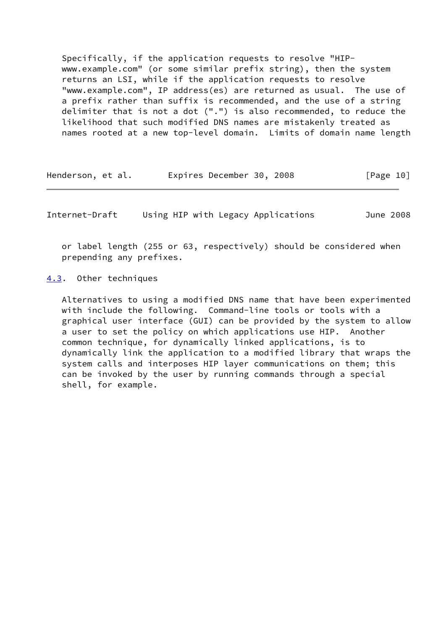Specifically, if the application requests to resolve "HIP www.example.com" (or some similar prefix string), then the system returns an LSI, while if the application requests to resolve "www.example.com", IP address(es) are returned as usual. The use of a prefix rather than suffix is recommended, and the use of a string delimiter that is not a dot (".") is also recommended, to reduce the likelihood that such modified DNS names are mistakenly treated as names rooted at a new top-level domain. Limits of domain name length

| Henderson, et al. | Expires December 30, 2008 | [Page 10] |
|-------------------|---------------------------|-----------|
|-------------------|---------------------------|-----------|

<span id="page-11-1"></span>Internet-Draft Using HIP with Legacy Applications June 2008

 or label length (255 or 63, respectively) should be considered when prepending any prefixes.

<span id="page-11-0"></span>[4.3](#page-11-0). Other techniques

 Alternatives to using a modified DNS name that have been experimented with include the following. Command-line tools or tools with a graphical user interface (GUI) can be provided by the system to allow a user to set the policy on which applications use HIP. Another common technique, for dynamically linked applications, is to dynamically link the application to a modified library that wraps the system calls and interposes HIP layer communications on them; this can be invoked by the user by running commands through a special shell, for example.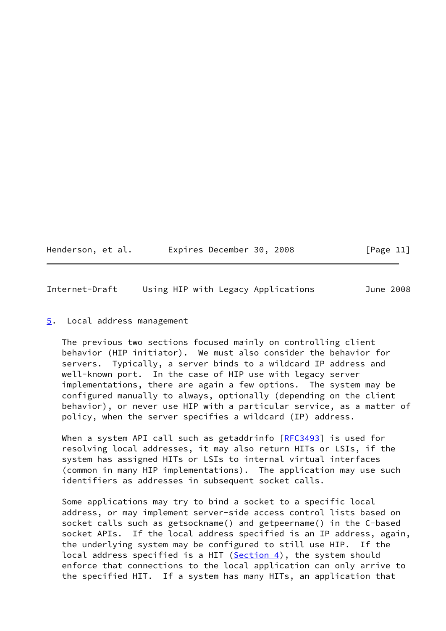| Henderson, et al. | Expires December 30, 2008 | [Page 11] |
|-------------------|---------------------------|-----------|
|-------------------|---------------------------|-----------|

<span id="page-12-1"></span>Internet-Draft Using HIP with Legacy Applications June 2008

## <span id="page-12-0"></span>[5](#page-12-0). Local address management

 The previous two sections focused mainly on controlling client behavior (HIP initiator). We must also consider the behavior for servers. Typically, a server binds to a wildcard IP address and well-known port. In the case of HIP use with legacy server implementations, there are again a few options. The system may be configured manually to always, optionally (depending on the client behavior), or never use HIP with a particular service, as a matter of policy, when the server specifies a wildcard (IP) address.

When a system API call such as getaddrinfo [[RFC3493\]](https://datatracker.ietf.org/doc/pdf/rfc3493) is used for resolving local addresses, it may also return HITs or LSIs, if the system has assigned HITs or LSIs to internal virtual interfaces (common in many HIP implementations). The application may use such identifiers as addresses in subsequent socket calls.

 Some applications may try to bind a socket to a specific local address, or may implement server-side access control lists based on socket calls such as getsockname() and getpeername() in the C-based socket APIs. If the local address specified is an IP address, again, the underlying system may be configured to still use HIP. If the local address specified is a HIT  $(Section 4)$ , the system should enforce that connections to the local application can only arrive to the specified HIT. If a system has many HITs, an application that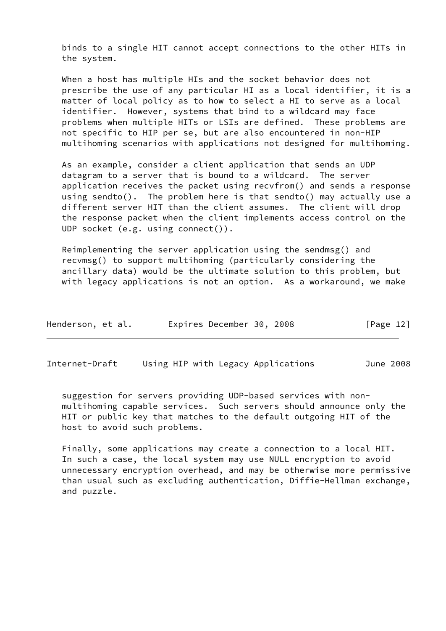binds to a single HIT cannot accept connections to the other HITs in the system.

 When a host has multiple HIs and the socket behavior does not prescribe the use of any particular HI as a local identifier, it is a matter of local policy as to how to select a HI to serve as a local identifier. However, systems that bind to a wildcard may face problems when multiple HITs or LSIs are defined. These problems are not specific to HIP per se, but are also encountered in non-HIP multihoming scenarios with applications not designed for multihoming.

 As an example, consider a client application that sends an UDP datagram to a server that is bound to a wildcard. The server application receives the packet using recvfrom() and sends a response using sendto(). The problem here is that sendto() may actually use a different server HIT than the client assumes. The client will drop the response packet when the client implements access control on the UDP socket (e.g. using connect()).

 Reimplementing the server application using the sendmsg() and recvmsg() to support multihoming (particularly considering the ancillary data) would be the ultimate solution to this problem, but with legacy applications is not an option. As a workaround, we make

| Henderson, et al. | Expires December 30, 2008 |  | [Page 12] |
|-------------------|---------------------------|--|-----------|
|-------------------|---------------------------|--|-----------|

Internet-Draft Using HIP with Legacy Applications June 2008

 suggestion for servers providing UDP-based services with non multihoming capable services. Such servers should announce only the HIT or public key that matches to the default outgoing HIT of the host to avoid such problems.

 Finally, some applications may create a connection to a local HIT. In such a case, the local system may use NULL encryption to avoid unnecessary encryption overhead, and may be otherwise more permissive than usual such as excluding authentication, Diffie-Hellman exchange, and puzzle.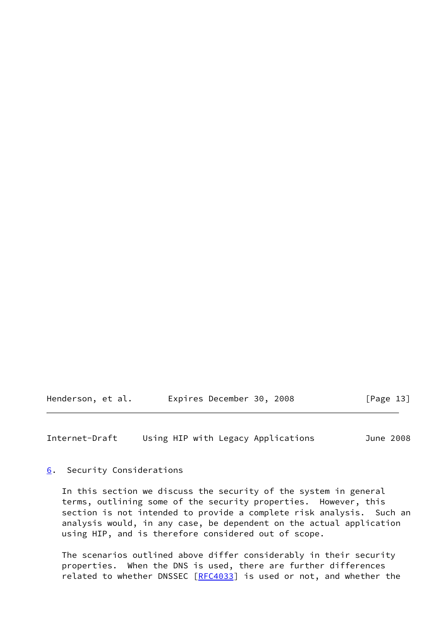Henderson, et al. Expires December 30, 2008 [Page 13]

<span id="page-14-1"></span>Internet-Draft Using HIP with Legacy Applications June 2008

<span id="page-14-0"></span>[6](#page-14-0). Security Considerations

 In this section we discuss the security of the system in general terms, outlining some of the security properties. However, this section is not intended to provide a complete risk analysis. Such an analysis would, in any case, be dependent on the actual application using HIP, and is therefore considered out of scope.

 The scenarios outlined above differ considerably in their security properties. When the DNS is used, there are further differences related to whether DNSSEC [[RFC4033](https://datatracker.ietf.org/doc/pdf/rfc4033)] is used or not, and whether the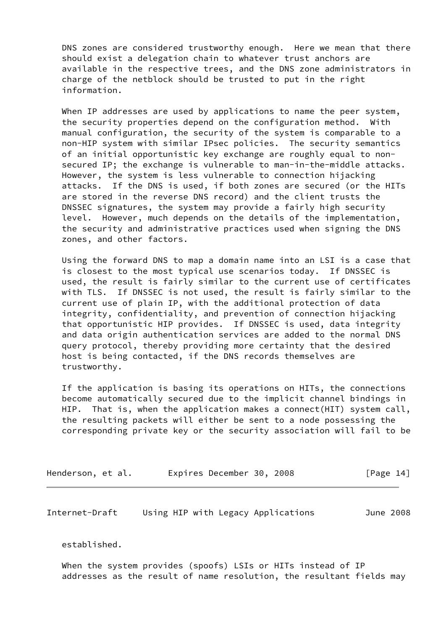DNS zones are considered trustworthy enough. Here we mean that there should exist a delegation chain to whatever trust anchors are available in the respective trees, and the DNS zone administrators in charge of the netblock should be trusted to put in the right information.

When IP addresses are used by applications to name the peer system, the security properties depend on the configuration method. With manual configuration, the security of the system is comparable to a non-HIP system with similar IPsec policies. The security semantics of an initial opportunistic key exchange are roughly equal to non secured IP; the exchange is vulnerable to man-in-the-middle attacks. However, the system is less vulnerable to connection hijacking attacks. If the DNS is used, if both zones are secured (or the HITs are stored in the reverse DNS record) and the client trusts the DNSSEC signatures, the system may provide a fairly high security level. However, much depends on the details of the implementation, the security and administrative practices used when signing the DNS zones, and other factors.

 Using the forward DNS to map a domain name into an LSI is a case that is closest to the most typical use scenarios today. If DNSSEC is used, the result is fairly similar to the current use of certificates with TLS. If DNSSEC is not used, the result is fairly similar to the current use of plain IP, with the additional protection of data integrity, confidentiality, and prevention of connection hijacking that opportunistic HIP provides. If DNSSEC is used, data integrity and data origin authentication services are added to the normal DNS query protocol, thereby providing more certainty that the desired host is being contacted, if the DNS records themselves are trustworthy.

 If the application is basing its operations on HITs, the connections become automatically secured due to the implicit channel bindings in HIP. That is, when the application makes a connect(HIT) system call, the resulting packets will either be sent to a node possessing the corresponding private key or the security association will fail to be

| Henderson, et al. | Expires December 30, 2008 | [Page 14] |
|-------------------|---------------------------|-----------|
|-------------------|---------------------------|-----------|

Internet-Draft Using HIP with Legacy Applications June 2008

established.

 When the system provides (spoofs) LSIs or HITs instead of IP addresses as the result of name resolution, the resultant fields may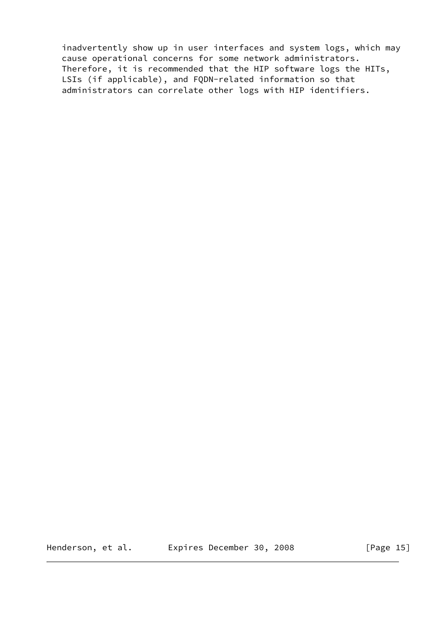inadvertently show up in user interfaces and system logs, which may cause operational concerns for some network administrators. Therefore, it is recommended that the HIP software logs the HITs, LSIs (if applicable), and FQDN-related information so that administrators can correlate other logs with HIP identifiers.

Henderson, et al. Expires December 30, 2008 [Page 15]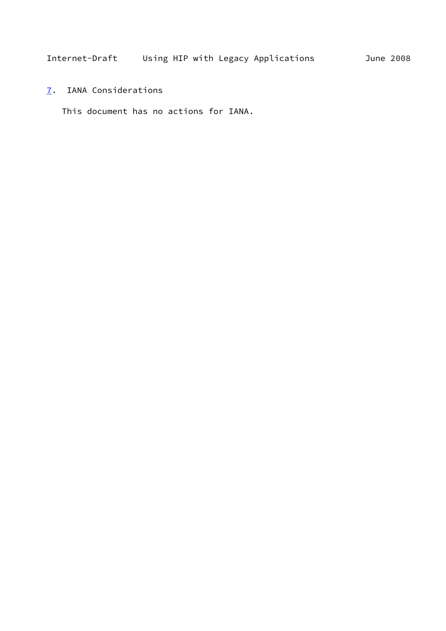<span id="page-17-1"></span><span id="page-17-0"></span>[7](#page-17-0). IANA Considerations

This document has no actions for IANA.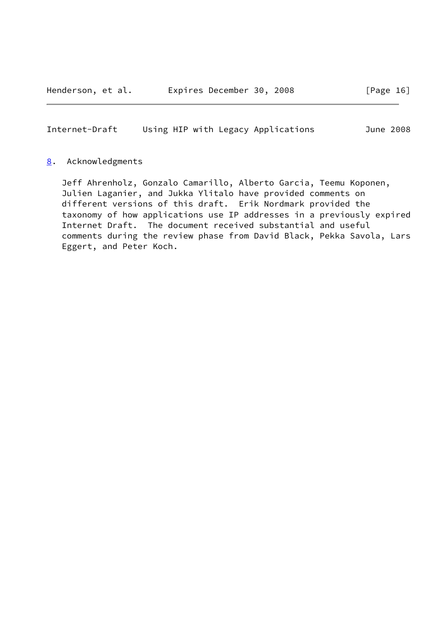<span id="page-18-1"></span>Internet-Draft Using HIP with Legacy Applications June 2008

### <span id="page-18-0"></span>[8](#page-18-0). Acknowledgments

 Jeff Ahrenholz, Gonzalo Camarillo, Alberto Garcia, Teemu Koponen, Julien Laganier, and Jukka Ylitalo have provided comments on different versions of this draft. Erik Nordmark provided the taxonomy of how applications use IP addresses in a previously expired Internet Draft. The document received substantial and useful comments during the review phase from David Black, Pekka Savola, Lars Eggert, and Peter Koch.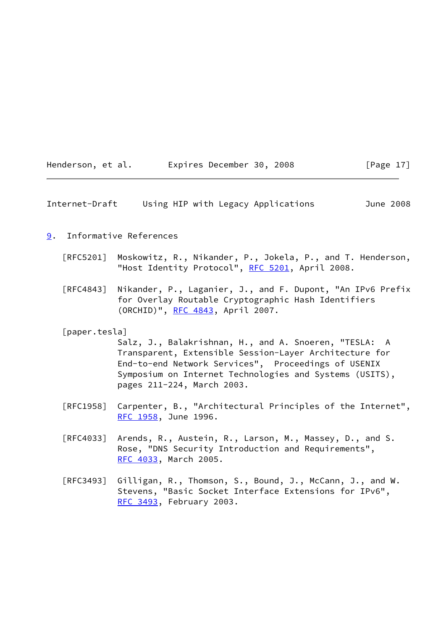| Henderson, et al. | Expires December 30, 2008 | [Page $17$ ] |
|-------------------|---------------------------|--------------|
|-------------------|---------------------------|--------------|

<span id="page-19-1"></span>

|  | Internet-Draft |  | Using HIP with Legacy Applications | June 2008 |
|--|----------------|--|------------------------------------|-----------|
|--|----------------|--|------------------------------------|-----------|

## <span id="page-19-0"></span>[9](#page-19-0). Informative References

- [RFC5201] Moskowitz, R., Nikander, P., Jokela, P., and T. Henderson, "Host Identity Protocol", [RFC 5201](https://datatracker.ietf.org/doc/pdf/rfc5201), April 2008.
- [RFC4843] Nikander, P., Laganier, J., and F. Dupont, "An IPv6 Prefix for Overlay Routable Cryptographic Hash Identifiers (ORCHID)", [RFC 4843](https://datatracker.ietf.org/doc/pdf/rfc4843), April 2007.

#### <span id="page-19-2"></span>[paper.tesla]

 Salz, J., Balakrishnan, H., and A. Snoeren, "TESLA: A Transparent, Extensible Session-Layer Architecture for End-to-end Network Services", Proceedings of USENIX Symposium on Internet Technologies and Systems (USITS), pages 211-224, March 2003.

- [RFC1958] Carpenter, B., "Architectural Principles of the Internet", [RFC 1958,](https://datatracker.ietf.org/doc/pdf/rfc1958) June 1996.
- [RFC4033] Arends, R., Austein, R., Larson, M., Massey, D., and S. Rose, "DNS Security Introduction and Requirements", [RFC 4033,](https://datatracker.ietf.org/doc/pdf/rfc4033) March 2005.
- [RFC3493] Gilligan, R., Thomson, S., Bound, J., McCann, J., and W. Stevens, "Basic Socket Interface Extensions for IPv6", [RFC 3493,](https://datatracker.ietf.org/doc/pdf/rfc3493) February 2003.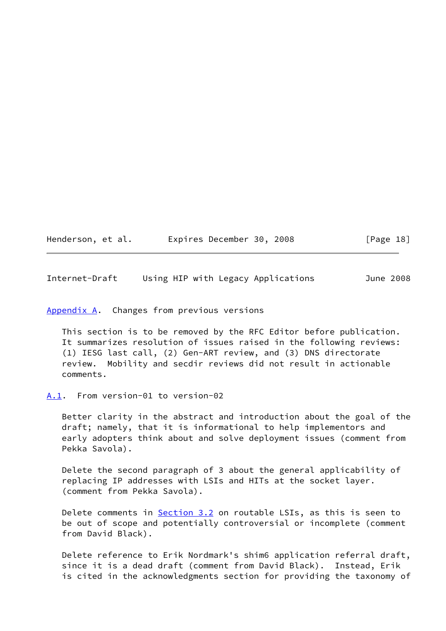| Henderson, et al. | Expires December 30, 2008 | [Page 18] |
|-------------------|---------------------------|-----------|
|-------------------|---------------------------|-----------|

<span id="page-20-1"></span>Internet-Draft Using HIP with Legacy Applications June 2008

<span id="page-20-0"></span>[Appendix A.](#page-20-0) Changes from previous versions

 This section is to be removed by the RFC Editor before publication. It summarizes resolution of issues raised in the following reviews: (1) IESG last call, (2) Gen-ART review, and (3) DNS directorate review. Mobility and secdir reviews did not result in actionable comments.

<span id="page-20-2"></span>[A.1](#page-20-2). From version-01 to version-02

 Better clarity in the abstract and introduction about the goal of the draft; namely, that it is informational to help implementors and early adopters think about and solve deployment issues (comment from Pekka Savola).

 Delete the second paragraph of 3 about the general applicability of replacing IP addresses with LSIs and HITs at the socket layer. (comment from Pekka Savola).

Delete comments in [Section 3.2](#page-7-0) on routable LSIs, as this is seen to be out of scope and potentially controversial or incomplete (comment from David Black).

 Delete reference to Erik Nordmark's shim6 application referral draft, since it is a dead draft (comment from David Black). Instead, Erik is cited in the acknowledgments section for providing the taxonomy of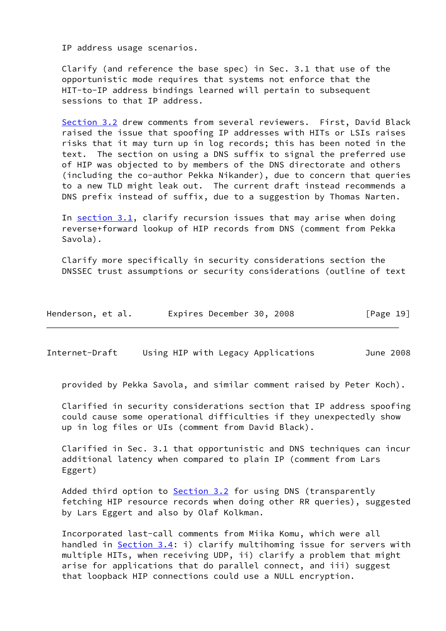IP address usage scenarios.

 Clarify (and reference the base spec) in Sec. 3.1 that use of the opportunistic mode requires that systems not enforce that the HIT-to-IP address bindings learned will pertain to subsequent sessions to that IP address.

 [Section 3.2](#page-7-0) drew comments from several reviewers. First, David Black raised the issue that spoofing IP addresses with HITs or LSIs raises risks that it may turn up in log records; this has been noted in the text. The section on using a DNS suffix to signal the preferred use of HIP was objected to by members of the DNS directorate and others (including the co-author Pekka Nikander), due to concern that queries to a new TLD might leak out. The current draft instead recommends a DNS prefix instead of suffix, due to a suggestion by Thomas Narten.

In [section 3.1](#page-5-2), clarify recursion issues that may arise when doing reverse+forward lookup of HIP records from DNS (comment from Pekka Savola).

 Clarify more specifically in security considerations section the DNSSEC trust assumptions or security considerations (outline of text

| Henderson, et al. | Expires December 30, 2008 |  | [Page 19] |
|-------------------|---------------------------|--|-----------|
|-------------------|---------------------------|--|-----------|

<span id="page-21-0"></span>Internet-Draft Using HIP with Legacy Applications June 2008

provided by Pekka Savola, and similar comment raised by Peter Koch).

 Clarified in security considerations section that IP address spoofing could cause some operational difficulties if they unexpectedly show up in log files or UIs (comment from David Black).

 Clarified in Sec. 3.1 that opportunistic and DNS techniques can incur additional latency when compared to plain IP (comment from Lars Eggert)

Added third option to **Section 3.2** for using DNS (transparently fetching HIP resource records when doing other RR queries), suggested by Lars Eggert and also by Olaf Kolkman.

 Incorporated last-call comments from Miika Komu, which were all handled in <u>Section 3.4</u>: i) clarify multihoming issue for servers with multiple HITs, when receiving UDP, ii) clarify a problem that might arise for applications that do parallel connect, and iii) suggest that loopback HIP connections could use a NULL encryption.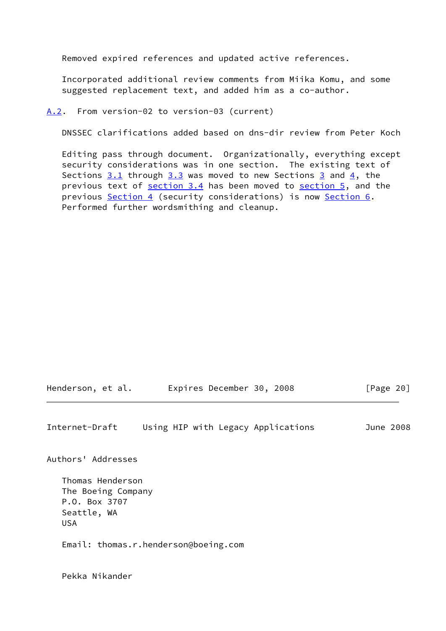Removed expired references and updated active references.

 Incorporated additional review comments from Miika Komu, and some suggested replacement text, and added him as a co-author.

<span id="page-22-0"></span>[A.2](#page-22-0). From version-02 to version-03 (current)

DNSSEC clarifications added based on dns-dir review from Peter Koch

 Editing pass through document. Organizationally, everything except security considerations was in one section. The existing text of Sections  $3.1$  through  $3.3$  was moved to new Sections  $3$  and  $4$ , the previous text of section 3.4 has been moved to [section 5,](#page-12-0) and the previous [Section 4](#page-10-0) (security considerations) is now [Section 6.](#page-14-0) Performed further wordsmithing and cleanup.

Henderson, et al. Expires December 30, 2008 [Page 20]

<span id="page-22-1"></span>Internet-Draft Using HIP with Legacy Applications June 2008

Authors' Addresses

 Thomas Henderson The Boeing Company P.O. Box 3707 Seattle, WA USA

Email: thomas.r.henderson@boeing.com

Pekka Nikander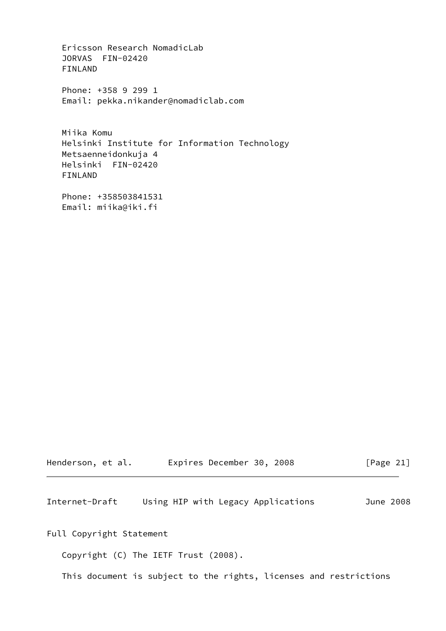Ericsson Research NomadicLab JORVAS FIN-02420 FINLAND

 Phone: +358 9 299 1 Email: pekka.nikander@nomadiclab.com

 Miika Komu Helsinki Institute for Information Technology Metsaenneidonkuja 4 Helsinki FIN-02420 FINLAND

 Phone: +358503841531 Email: miika@iki.fi

| Henderson, et al. |  |  | Expires December 30, 2008 |  |  | [Page 21] |  |  |  |
|-------------------|--|--|---------------------------|--|--|-----------|--|--|--|
|-------------------|--|--|---------------------------|--|--|-----------|--|--|--|

<span id="page-23-0"></span>Internet-Draft Using HIP with Legacy Applications June 2008

Full Copyright Statement

Copyright (C) The IETF Trust (2008).

This document is subject to the rights, licenses and restrictions